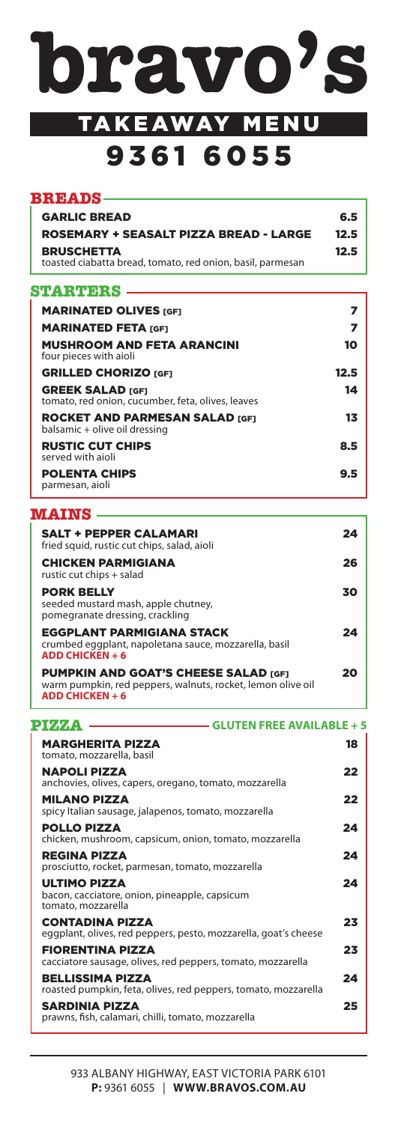

# TAKEAWAY MENU 9361 6055

| <b>BREADS</b>                                                                   |      |
|---------------------------------------------------------------------------------|------|
|                                                                                 |      |
| <b>GARLIC BREAD</b>                                                             | 6.5  |
| <b>ROSEMARY + SEASALT PIZZA BREAD - LARGE</b>                                   | 12.5 |
| <b>BRUSCHETTA</b><br>toasted ciabatta bread, tomato, red onion, basil, parmesan | 12.5 |

## **STARTERS**

| <b>MARINATED OLIVES [GF1]</b>                                                |      |
|------------------------------------------------------------------------------|------|
| <b>MARINATED FETA [GF1</b>                                                   | 7    |
| <b>MUSHROOM AND FETA ARANCINI</b><br>four pieces with aioli                  | 10   |
| <b>GRILLED CHORIZO [GF]</b>                                                  | 12.5 |
| <b>GREEK SALAD [GF]</b><br>tomato, red onion, cucumber, feta, olives, leaves | 14   |
| <b>ROCKET AND PARMESAN SALAD [GF1]</b><br>balsamic + olive oil dressing      | 13   |
| <b>RUSTIC CUT CHIPS</b><br>served with aioli                                 | 8.5  |
| <b>POLENTA CHIPS</b><br>parmesan, aioli                                      | 9.5  |

#### **MAINS**

| <b>SALT + PEPPER CALAMARI</b><br>fried squid, rustic cut chips, salad, aioli                                  | 24 |
|---------------------------------------------------------------------------------------------------------------|----|
| <b>CHICKEN PARMIGIANA</b><br>rustic cut chips + salad                                                         | 26 |
| <b>PORK BELLY</b><br>seeded mustard mash, apple chutney,<br>pomegranate dressing, crackling                   | 30 |
| <b>EGGPLANT PARMIGIANA STACK</b><br>crumbed eggplant, napoletana sauce, mozzarella, basil<br>ADD CHICKEN $+6$ | 24 |
| <b>PUMPKIN AND GOAT'S CHEESE SALAD [GF]</b><br>warm pumpkin, red peppers, walnuts, rocket, lemon olive oil    | 20 |

**ADD CHICKEN + 6**

| PIYANA                                               | <b>GLUTEN FREE AVAILABLE + 5</b>                                |    |
|------------------------------------------------------|-----------------------------------------------------------------|----|
| <b>MARGHERITA PIZZA</b><br>tomato, mozzarella, basil |                                                                 | 18 |
| <b>NAPOLI PIZZA</b>                                  | anchovies, olives, capers, oregano, tomato, mozzarella          | 22 |
| <b>MILANO PIZZA</b>                                  | spicy Italian sausage, jalapenos, tomato, mozzarella            | 22 |
| <b>POLLO PIZZA</b>                                   | chicken, mushroom, capsicum, onion, tomato, mozzarella          | 24 |
| <b>REGINA PIZZA</b>                                  | prosciutto, rocket, parmesan, tomato, mozzarella                | 24 |
| <b>ULTIMO PIZZA</b><br>tomato, mozzarella            | bacon, cacciatore, onion, pineapple, capsicum                   | 24 |
| <b>CONTADINA PIZZA</b>                               | eggplant, olives, red peppers, pesto, mozzarella, goat's cheese | 23 |
| <b>FIORENTINA PIZZA</b>                              | cacciatore sausage, olives, red peppers, tomato, mozzarella     | 23 |
| <b>BELLISSIMA PIZZA</b>                              | roasted pumpkin, feta, olives, red peppers, tomato, mozzarella  | 24 |
| SARDINIA PIZZA                                       | prawns, fish, calamari, chilli, tomato, mozzarella              | 25 |